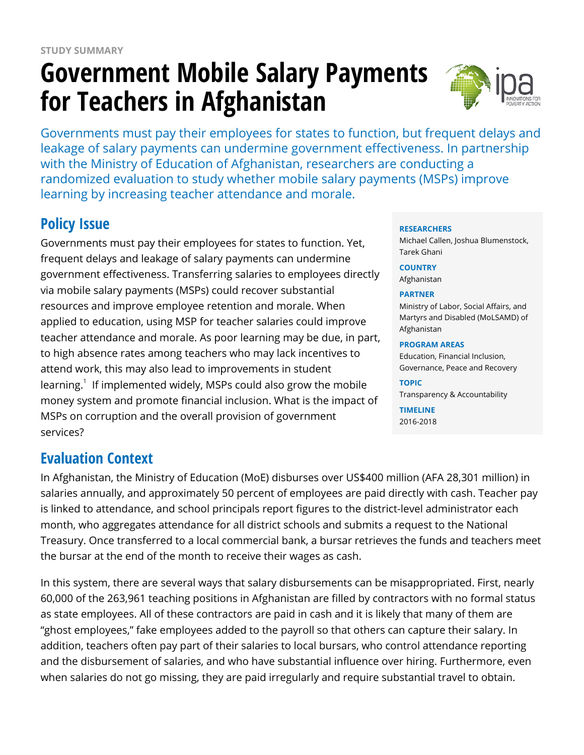# **Government Mobile Salary Payments for Teachers in Afghanistan**



Governments must pay their employees for states to function, but frequent delays and leakage of salary payments can undermine government effectiveness. In partnership with the Ministry of Education of Afghanistan, researchers are conducting a randomized evaluation to study whether mobile salary payments (MSPs) improve learning by increasing teacher attendance and morale.

# **Policy Issue**

Governments must pay their employees for states to function. Yet, frequent delays and leakage of salary payments can undermine government effectiveness. Transferring salaries to employees directly via mobile salary payments (MSPs) could recover substantial resources and improve employee retention and morale. When applied to education, using MSP for teacher salaries could improve teacher attendance and morale. As poor learning may be due, in part, to high absence rates among teachers who may lack incentives to attend work, this may also lead to improvements in student learning.<sup>1</sup> If implemented widely, MSPs could also grow the mobile money system and promote financial inclusion. What is the impact of MSPs on corruption and the overall provision of government services?

## **Evaluation Context**

In Afghanistan, the Ministry of Education (MoE) disburses over US\$400 million (AFA 28,301 million) in salaries annually, and approximately 50 percent of employees are paid directly with cash. Teacher pay is linked to attendance, and school principals report figures to the district-level administrator each month, who aggregates attendance for all district schools and submits a request to the National Treasury. Once transferred to a local commercial bank, a bursar retrieves the funds and teachers meet the bursar at the end of the month to receive their wages as cash.

In this system, there are several ways that salary disbursements can be misappropriated. First, nearly 60,000 of the 263,961 teaching positions in Afghanistan are filled by contractors with no formal status as state employees. All of these contractors are paid in cash and it is likely that many of them are "ghost employees," fake employees added to the payroll so that others can capture their salary. In addition, teachers often pay part of their salaries to local bursars, who control attendance reporting and the disbursement of salaries, and who have substantial influence over hiring. Furthermore, even when salaries do not go missing, they are paid irregularly and require substantial travel to obtain.

#### **RESEARCHERS**

Michael Callen, Joshua Blumenstock, Tarek Ghani

**COUNTRY** Afghanistan

#### **PARTNER**

Ministry of Labor, Social Affairs, and Martyrs and Disabled (MoLSAMD) of Afghanistan

#### **PROGRAM AREAS**

Education, Financial Inclusion, Governance, Peace and Recovery

#### **TOPIC**

Transparency & Accountability

**TIMELINE** 2016-2018